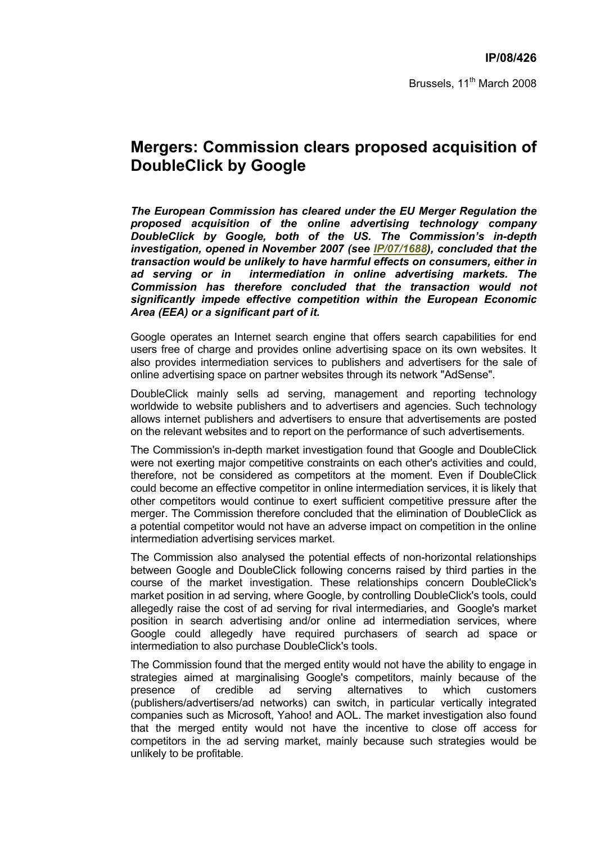Brussels, 11<sup>th</sup> March 2008

## **Mergers: Commission clears proposed acquisition of DoubleClick by Google**

*The European Commission has cleared under the EU Merger Regulation the proposed acquisition of the online advertising technology company DoubleClick by Google, both of the US. The Commission's in-depth investigation, opened in November 2007 (see IP/07/1688), concluded that the transaction would be unlikely to have harmful effects on consumers, either in ad serving or in intermediation in online advertising markets. The Commission has therefore concluded that the transaction would not significantly impede effective competition within the European Economic Area (EEA) or a significant part of it.* 

Google operates an Internet search engine that offers search capabilities for end users free of charge and provides online advertising space on its own websites. It also provides intermediation services to publishers and advertisers for the sale of online advertising space on partner websites through its network "AdSense".

DoubleClick mainly sells ad serving, management and reporting technology worldwide to website publishers and to advertisers and agencies. Such technology allows internet publishers and advertisers to ensure that advertisements are posted on the relevant websites and to report on the performance of such advertisements.

The Commission's in-depth market investigation found that Google and DoubleClick were not exerting major competitive constraints on each other's activities and could, therefore, not be considered as competitors at the moment. Even if DoubleClick could become an effective competitor in online intermediation services, it is likely that other competitors would continue to exert sufficient competitive pressure after the merger. The Commission therefore concluded that the elimination of DoubleClick as a potential competitor would not have an adverse impact on competition in the online intermediation advertising services market.

The Commission also analysed the potential effects of non-horizontal relationships between Google and DoubleClick following concerns raised by third parties in the course of the market investigation. These relationships concern DoubleClick's market position in ad serving, where Google, by controlling DoubleClick's tools, could allegedly raise the cost of ad serving for rival intermediaries, and Google's market position in search advertising and/or online ad intermediation services, where Google could allegedly have required purchasers of search ad space or intermediation to also purchase DoubleClick's tools.

The Commission found that the merged entity would not have the ability to engage in strategies aimed at marginalising Google's competitors, mainly because of the presence of credible ad serving alternatives to which customers (publishers/advertisers/ad networks) can switch, in particular vertically integrated companies such as Microsoft, Yahoo! and AOL. The market investigation also found that the merged entity would not have the incentive to close off access for competitors in the ad serving market, mainly because such strategies would be unlikely to be profitable.